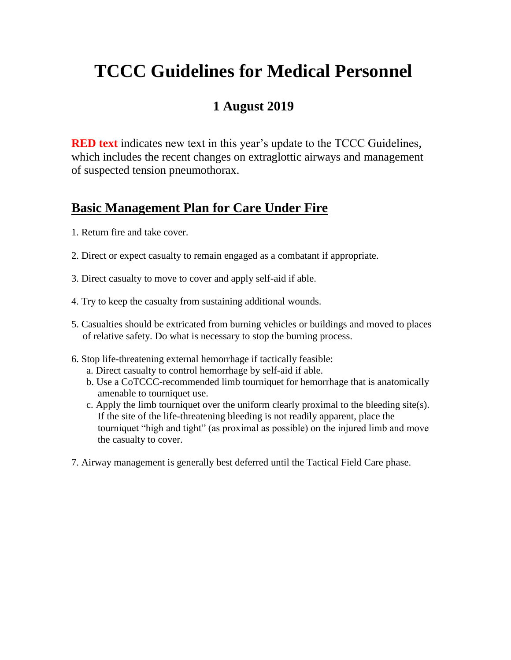# **TCCC Guidelines for Medical Personnel**

# **1 August 2019**

**RED text** indicates new text in this year's update to the TCCC Guidelines, which includes the recent changes on extraglottic airways and management of suspected tension pneumothorax.

# **Basic Management Plan for Care Under Fire**

- 1. Return fire and take cover.
- 2. Direct or expect casualty to remain engaged as a combatant if appropriate.
- 3. Direct casualty to move to cover and apply self-aid if able.
- 4. Try to keep the casualty from sustaining additional wounds.
- 5. Casualties should be extricated from burning vehicles or buildings and moved to places of relative safety. Do what is necessary to stop the burning process.
- 6. Stop life-threatening external hemorrhage if tactically feasible:
	- a. Direct casualty to control hemorrhage by self-aid if able.
	- b. Use a CoTCCC-recommended limb tourniquet for hemorrhage that is anatomically amenable to tourniquet use.
	- c. Apply the limb tourniquet over the uniform clearly proximal to the bleeding site(s). If the site of the life-threatening bleeding is not readily apparent, place the tourniquet "high and tight" (as proximal as possible) on the injured limb and move the casualty to cover.
- 7. Airway management is generally best deferred until the Tactical Field Care phase.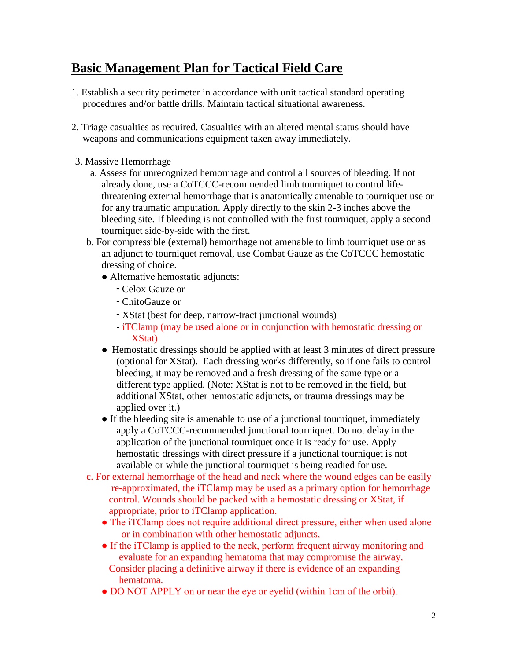# **Basic Management Plan for Tactical Field Care**

- 1. Establish a security perimeter in accordance with unit tactical standard operating procedures and/or battle drills. Maintain tactical situational awareness.
- 2. Triage casualties as required. Casualties with an altered mental status should have weapons and communications equipment taken away immediately.
- 3. Massive Hemorrhage
	- a. Assess for unrecognized hemorrhage and control all sources of bleeding. If not already done, use a CoTCCC-recommended limb tourniquet to control lifethreatening external hemorrhage that is anatomically amenable to tourniquet use or for any traumatic amputation. Apply directly to the skin 2-3 inches above the bleeding site. If bleeding is not controlled with the first tourniquet, apply a second tourniquet side-by-side with the first.
	- b. For compressible (external) hemorrhage not amenable to limb tourniquet use or as an adjunct to tourniquet removal, use Combat Gauze as the CoTCCC hemostatic dressing of choice.
		- Alternative hemostatic adjuncts:
			- ⁃ Celox Gauze or
			- ⁃ ChitoGauze or
			- ⁃ XStat (best for deep, narrow-tract junctional wounds)
			- iTClamp (may be used alone or in conjunction with hemostatic dressing or XStat)
		- Hemostatic dressings should be applied with at least 3 minutes of direct pressure (optional for XStat). Each dressing works differently, so if one fails to control bleeding, it may be removed and a fresh dressing of the same type or a different type applied. (Note: XStat is not to be removed in the field, but additional XStat, other hemostatic adjuncts, or trauma dressings may be applied over it.)
		- If the bleeding site is amenable to use of a junctional tourniquet, immediately apply a CoTCCC-recommended junctional tourniquet. Do not delay in the application of the junctional tourniquet once it is ready for use. Apply hemostatic dressings with direct pressure if a junctional tourniquet is not available or while the junctional tourniquet is being readied for use.
	- c. For external hemorrhage of the head and neck where the wound edges can be easily re-approximated, the iTClamp may be used as a primary option for hemorrhage control. Wounds should be packed with a hemostatic dressing or XStat, if appropriate, prior to iTClamp application.
		- The iTClamp does not require additional direct pressure, either when used alone or in combination with other hemostatic adjuncts.
		- If the iTClamp is applied to the neck, perform frequent airway monitoring and evaluate for an expanding hematoma that may compromise the airway.
			- Consider placing a definitive airway if there is evidence of an expanding hematoma.
		- DO NOT APPLY on or near the eye or eyelid (within 1cm of the orbit).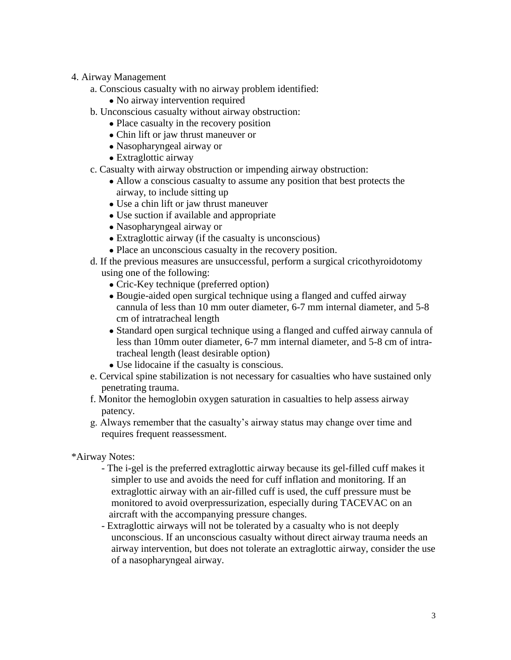- 4. Airway Management
	- a. Conscious casualty with no airway problem identified:
		- No airway intervention required
	- b. Unconscious casualty without airway obstruction:
		- Place casualty in the recovery position
		- Chin lift or jaw thrust maneuver or
		- Nasopharyngeal airway or
		- Extraglottic airway
	- c. Casualty with airway obstruction or impending airway obstruction:
		- Allow a conscious casualty to assume any position that best protects the airway, to include sitting up
		- Use a chin lift or jaw thrust maneuver
		- Use suction if available and appropriate
		- Nasopharyngeal airway or
		- Extraglottic airway (if the casualty is unconscious)
		- Place an unconscious casualty in the recovery position.
	- d. If the previous measures are unsuccessful, perform a surgical cricothyroidotomy using one of the following:
		- Cric-Key technique (preferred option)
		- Bougie-aided open surgical technique using a flanged and cuffed airway cannula of less than 10 mm outer diameter, 6-7 mm internal diameter, and 5-8 cm of intratracheal length
		- Standard open surgical technique using a flanged and cuffed airway cannula of less than 10mm outer diameter, 6-7 mm internal diameter, and 5-8 cm of intratracheal length (least desirable option)
		- Use lidocaine if the casualty is conscious.
	- e. Cervical spine stabilization is not necessary for casualties who have sustained only penetrating trauma.
	- f. Monitor the hemoglobin oxygen saturation in casualties to help assess airway patency.
	- g. Always remember that the casualty's airway status may change over time and requires frequent reassessment.
- \*Airway Notes:
	- The i-gel is the preferred extraglottic airway because its gel-filled cuff makes it simpler to use and avoids the need for cuff inflation and monitoring. If an extraglottic airway with an air-filled cuff is used, the cuff pressure must be monitored to avoid overpressurization, especially during TACEVAC on an aircraft with the accompanying pressure changes.
	- Extraglottic airways will not be tolerated by a casualty who is not deeply unconscious. If an unconscious casualty without direct airway trauma needs an airway intervention, but does not tolerate an extraglottic airway, consider the use of a nasopharyngeal airway.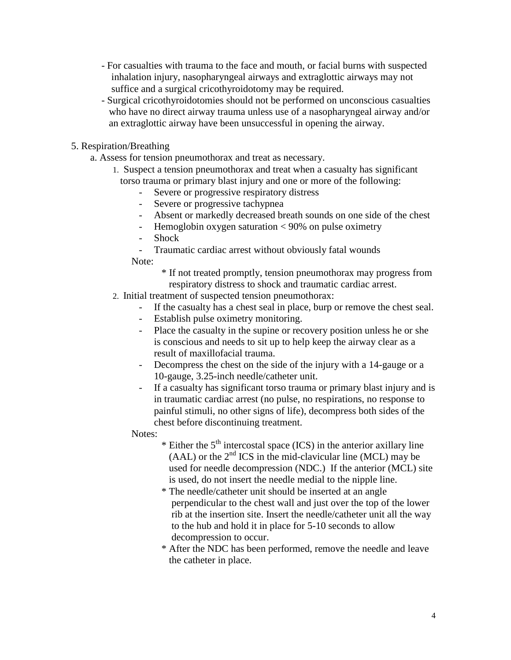- For casualties with trauma to the face and mouth, or facial burns with suspected inhalation injury, nasopharyngeal airways and extraglottic airways may not suffice and a surgical cricothyroidotomy may be required.
- Surgical cricothyroidotomies should not be performed on unconscious casualties who have no direct airway trauma unless use of a nasopharyngeal airway and/or an extraglottic airway have been unsuccessful in opening the airway.
- 5. Respiration/Breathing
	- a. Assess for tension pneumothorax and treat as necessary.
		- 1. Suspect a tension pneumothorax and treat when a casualty has significant torso trauma or primary blast injury and one or more of the following:
			- Severe or progressive respiratory distress
			- Severe or progressive tachypnea
			- Absent or markedly decreased breath sounds on one side of the chest
			- Hemoglobin oxygen saturation < 90% on pulse oximetry
			- **Shock**
			- Traumatic cardiac arrest without obviously fatal wounds

Note:

- \* If not treated promptly, tension pneumothorax may progress from respiratory distress to shock and traumatic cardiac arrest.
- 2. Initial treatment of suspected tension pneumothorax:
	- If the casualty has a chest seal in place, burp or remove the chest seal.
	- Establish pulse oximetry monitoring.
	- Place the casualty in the supine or recovery position unless he or she is conscious and needs to sit up to help keep the airway clear as a result of maxillofacial trauma.
	- Decompress the chest on the side of the injury with a 14-gauge or a 10-gauge, 3.25-inch needle/catheter unit.
	- If a casualty has significant torso trauma or primary blast injury and is in traumatic cardiac arrest (no pulse, no respirations, no response to painful stimuli, no other signs of life), decompress both sides of the chest before discontinuing treatment.

Notes:

- \* Either the  $5<sup>th</sup>$  intercostal space (ICS) in the anterior axillary line  $(AAL)$  or the  $2<sup>nd</sup> ICS$  in the mid-clavicular line (MCL) may be used for needle decompression (NDC.) If the anterior (MCL) site is used, do not insert the needle medial to the nipple line.
- \* The needle/catheter unit should be inserted at an angle perpendicular to the chest wall and just over the top of the lower rib at the insertion site. Insert the needle/catheter unit all the way to the hub and hold it in place for 5-10 seconds to allow decompression to occur.
- \* After the NDC has been performed, remove the needle and leave the catheter in place.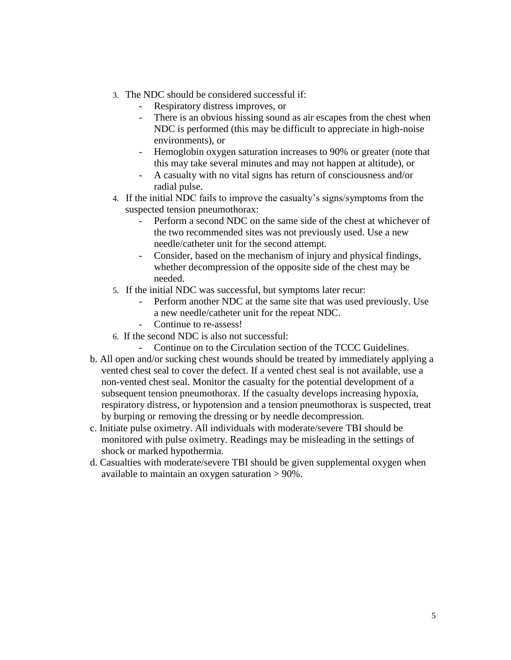- 3. The NDC should be considered successful if:
	- Respiratory distress improves, or
	- There is an obvious hissing sound as air escapes from the chest when NDC is performed (this may be difficult to appreciate in high-noise environments), or
	- Hemoglobin oxygen saturation increases to 90% or greater (note that this may take several minutes and may not happen at altitude), or
	- A casualty with no vital signs has return of consciousness and/or radial pulse.
- 4. If the initial NDC fails to improve the casualty's signs/symptoms from the suspected tension pneumothorax:
	- Perform a second NDC on the same side of the chest at whichever of the two recommended sites was not previously used. Use a new needle/catheter unit for the second attempt.
	- Consider, based on the mechanism of injury and physical findings, whether decompression of the opposite side of the chest may be needed.
- 5. If the initial NDC was successful, but symptoms later recur:
	- Perform another NDC at the same site that was used previously. Use a new needle/catheter unit for the repeat NDC.
	- Continue to re-assess!
- 6. If the second NDC is also not successful:
	- Continue on to the Circulation section of the TCCC Guidelines.
- b. All open and/or sucking chest wounds should be treated by immediately applying a vented chest seal to cover the defect. If a vented chest seal is not available, use a non-vented chest seal. Monitor the casualty for the potential development of a subsequent tension pneumothorax. If the casualty develops increasing hypoxia, respiratory distress, or hypotension and a tension pneumothorax is suspected, treat by burping or removing the dressing or by needle decompression.
- c. Initiate pulse oximetry. All individuals with moderate/severe TBI should be monitored with pulse oximetry. Readings may be misleading in the settings of shock or marked hypothermia.
- d. Casualties with moderate/severe TBI should be given supplemental oxygen when available to maintain an oxygen saturation > 90%.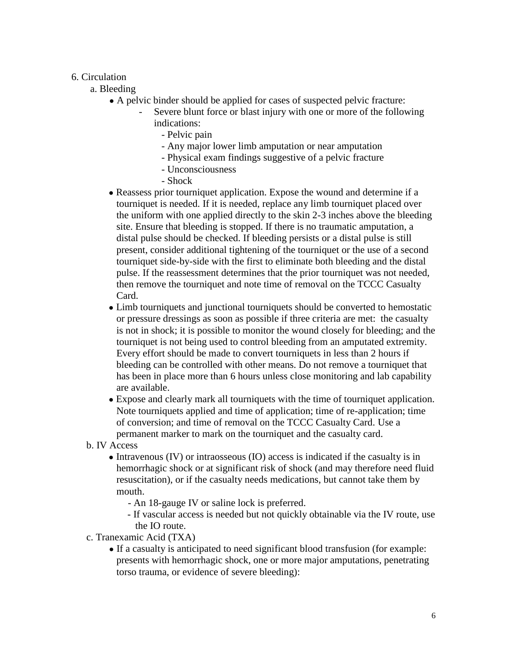### 6. Circulation

- a. Bleeding
	- A pelvic binder should be applied for cases of suspected pelvic fracture:
		- Severe blunt force or blast injury with one or more of the following indications:
			- Pelvic pain
			- Any major lower limb amputation or near amputation
			- Physical exam findings suggestive of a pelvic fracture
			- Unconsciousness
			- Shock
	- Reassess prior tourniquet application. Expose the wound and determine if a tourniquet is needed. If it is needed, replace any limb tourniquet placed over the uniform with one applied directly to the skin 2-3 inches above the bleeding site. Ensure that bleeding is stopped. If there is no traumatic amputation, a distal pulse should be checked. If bleeding persists or a distal pulse is still present, consider additional tightening of the tourniquet or the use of a second tourniquet side-by-side with the first to eliminate both bleeding and the distal pulse. If the reassessment determines that the prior tourniquet was not needed, then remove the tourniquet and note time of removal on the TCCC Casualty Card.
	- Limb tourniquets and junctional tourniquets should be converted to hemostatic or pressure dressings as soon as possible if three criteria are met: the casualty is not in shock; it is possible to monitor the wound closely for bleeding; and the tourniquet is not being used to control bleeding from an amputated extremity. Every effort should be made to convert tourniquets in less than 2 hours if bleeding can be controlled with other means. Do not remove a tourniquet that has been in place more than 6 hours unless close monitoring and lab capability are available.
	- Expose and clearly mark all tourniquets with the time of tourniquet application. Note tourniquets applied and time of application; time of re-application; time of conversion; and time of removal on the TCCC Casualty Card. Use a permanent marker to mark on the tourniquet and the casualty card.

b. IV Access

• Intravenous (IV) or intraosseous (IO) access is indicated if the casualty is in hemorrhagic shock or at significant risk of shock (and may therefore need fluid resuscitation), or if the casualty needs medications, but cannot take them by mouth.

- An 18-gauge IV or saline lock is preferred.

- If vascular access is needed but not quickly obtainable via the IV route, use the IO route.

- c. Tranexamic Acid (TXA)
	- If a casualty is anticipated to need significant blood transfusion (for example: presents with hemorrhagic shock, one or more major amputations, penetrating torso trauma, or evidence of severe bleeding):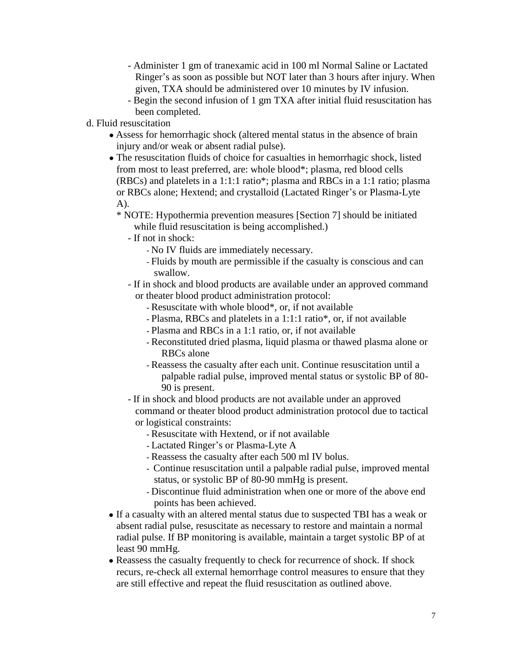- Administer 1 gm of tranexamic acid in 100 ml Normal Saline or Lactated Ringer's as soon as possible but NOT later than 3 hours after injury. When given, TXA should be administered over 10 minutes by IV infusion.
- Begin the second infusion of 1 gm TXA after initial fluid resuscitation has been completed.
- d. Fluid resuscitation
	- Assess for hemorrhagic shock (altered mental status in the absence of brain injury and/or weak or absent radial pulse).
	- The resuscitation fluids of choice for casualties in hemorrhagic shock, listed from most to least preferred, are: whole blood\*; plasma, red blood cells (RBCs) and platelets in a 1:1:1 ratio\*; plasma and RBCs in a 1:1 ratio; plasma or RBCs alone; Hextend; and crystalloid (Lactated Ringer's or Plasma-Lyte A).
		- \* NOTE: Hypothermia prevention measures [Section 7] should be initiated while fluid resuscitation is being accomplished.)
			- If not in shock:
				- No IV fluids are immediately necessary.
				- Fluids by mouth are permissible if the casualty is conscious and can swallow.
			- If in shock and blood products are available under an approved command or theater blood product administration protocol:
				- **-** Resuscitate with whole blood\*, or, if not available
				- **-** Plasma, RBCs and platelets in a 1:1:1 ratio\*, or, if not available
				- **-** Plasma and RBCs in a 1:1 ratio, or, if not available
				- **-** Reconstituted dried plasma, liquid plasma or thawed plasma alone or RBCs alone
				- **-** Reassess the casualty after each unit. Continue resuscitation until a palpable radial pulse, improved mental status or systolic BP of 80- 90 is present.
			- If in shock and blood products are not available under an approved command or theater blood product administration protocol due to tactical or logistical constraints:
				- **-** Resuscitate with Hextend, or if not available
				- **-** Lactated Ringer's or Plasma-Lyte A
				- **-** Reassess the casualty after each 500 ml IV bolus.
				- **-** Continue resuscitation until a palpable radial pulse, improved mental status, or systolic BP of 80-90 mmHg is present.
				- **-** Discontinue fluid administration when one or more of the above end points has been achieved.
	- If a casualty with an altered mental status due to suspected TBI has a weak or absent radial pulse, resuscitate as necessary to restore and maintain a normal radial pulse. If BP monitoring is available, maintain a target systolic BP of at least 90 mmHg.
	- Reassess the casualty frequently to check for recurrence of shock. If shock recurs, re-check all external hemorrhage control measures to ensure that they are still effective and repeat the fluid resuscitation as outlined above.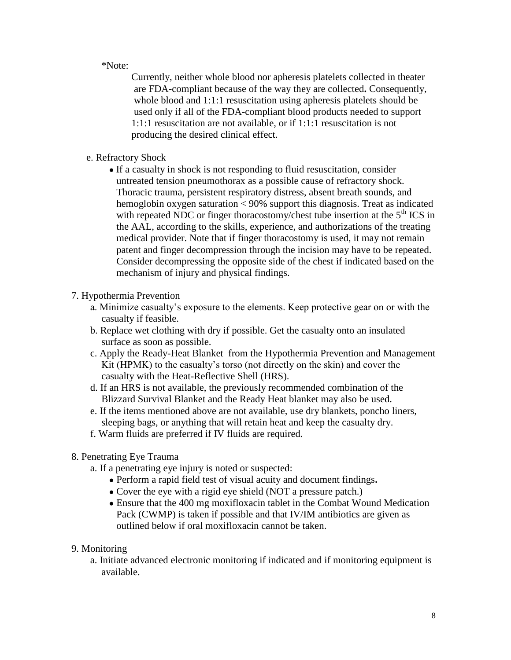### \*Note:

Currently, neither whole blood nor apheresis platelets collected in theater are FDA-compliant because of the way they are collected**.** Consequently, whole blood and 1:1:1 resuscitation using apheresis platelets should be used only if all of the FDA-compliant blood products needed to support 1:1:1 resuscitation are not available, or if 1:1:1 resuscitation is not producing the desired clinical effect.

- e. Refractory Shock
	- If a casualty in shock is not responding to fluid resuscitation, consider untreated tension pneumothorax as a possible cause of refractory shock. Thoracic trauma, persistent respiratory distress, absent breath sounds, and hemoglobin oxygen saturation < 90% support this diagnosis. Treat as indicated with repeated NDC or finger thoracostomy/chest tube insertion at the  $5<sup>th</sup> ICS$  in the AAL, according to the skills, experience, and authorizations of the treating medical provider. Note that if finger thoracostomy is used, it may not remain patent and finger decompression through the incision may have to be repeated. Consider decompressing the opposite side of the chest if indicated based on the mechanism of injury and physical findings.

# 7. Hypothermia Prevention

- a. Minimize casualty's exposure to the elements. Keep protective gear on or with the casualty if feasible.
- b. Replace wet clothing with dry if possible. Get the casualty onto an insulated surface as soon as possible.
- c. Apply the Ready-Heat Blanket from the Hypothermia Prevention and Management Kit (HPMK) to the casualty's torso (not directly on the skin) and cover the casualty with the Heat-Reflective Shell (HRS).
- d. If an HRS is not available, the previously recommended combination of the Blizzard Survival Blanket and the Ready Heat blanket may also be used.
- e. If the items mentioned above are not available, use dry blankets, poncho liners, sleeping bags, or anything that will retain heat and keep the casualty dry.
- f. Warm fluids are preferred if IV fluids are required.
- 8. Penetrating Eye Trauma
	- a. If a penetrating eye injury is noted or suspected:
		- Perform a rapid field test of visual acuity and document findings**.**
		- Cover the eye with a rigid eye shield (NOT a pressure patch.)
		- Ensure that the 400 mg moxifloxacin tablet in the Combat Wound Medication Pack (CWMP) is taken if possible and that IV/IM antibiotics are given as outlined below if oral moxifloxacin cannot be taken.
- 9. Monitoring
	- a. Initiate advanced electronic monitoring if indicated and if monitoring equipment is available.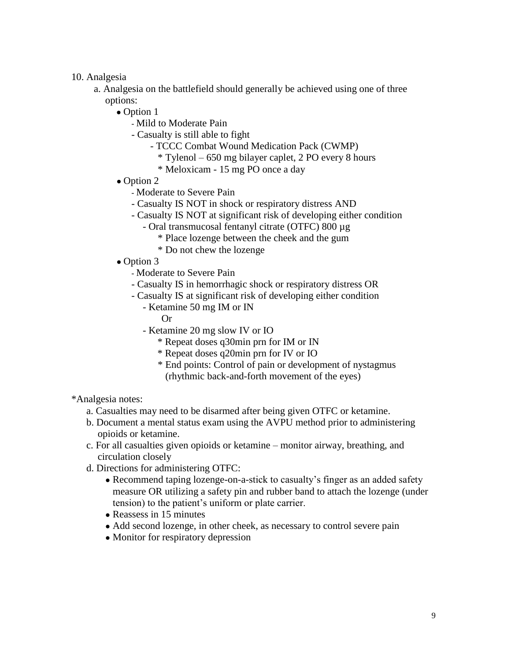### 10. Analgesia

- a. Analgesia on the battlefield should generally be achieved using one of three options:
	- Option 1
		- Mild to Moderate Pain
		- Casualty is still able to fight
			- TCCC Combat Wound Medication Pack (CWMP)
				- \* Tylenol 650 mg bilayer caplet, 2 PO every 8 hours
				- \* Meloxicam 15 mg PO once a day
	- Option 2
		- Moderate to Severe Pain
		- Casualty IS NOT in shock or respiratory distress AND
		- Casualty IS NOT at significant risk of developing either condition
			- Oral transmucosal fentanyl citrate (OTFC) 800 µg
				- \* Place lozenge between the cheek and the gum
				- \* Do not chew the lozenge
	- Option 3
		- Moderate to Severe Pain
		- Casualty IS in hemorrhagic shock or respiratory distress OR
		- Casualty IS at significant risk of developing either condition
			- Ketamine 50 mg IM or IN
				- Or
			- Ketamine 20 mg slow IV or IO
				- \* Repeat doses q30min prn for IM or IN
				- \* Repeat doses q20min prn for IV or IO
				- \* End points: Control of pain or development of nystagmus (rhythmic back-and-forth movement of the eyes)

\*Analgesia notes:

- a. Casualties may need to be disarmed after being given OTFC or ketamine.
- b. Document a mental status exam using the AVPU method prior to administering opioids or ketamine.
- c. For all casualties given opioids or ketamine monitor airway, breathing, and circulation closely
- d. Directions for administering OTFC:
	- Recommend taping lozenge-on-a-stick to casualty's finger as an added safety measure OR utilizing a safety pin and rubber band to attach the lozenge (under tension) to the patient's uniform or plate carrier.
	- Reassess in 15 minutes
	- Add second lozenge, in other cheek, as necessary to control severe pain
	- Monitor for respiratory depression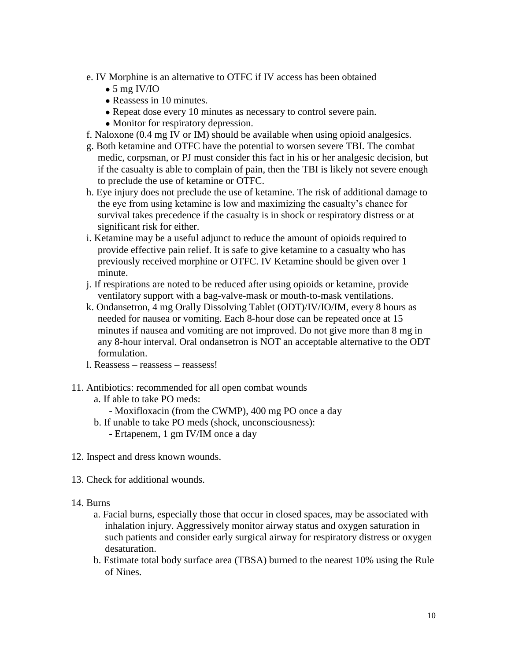- e. IV Morphine is an alternative to OTFC if IV access has been obtained
	- 5 mg IV/IO
	- Reassess in 10 minutes.
	- Repeat dose every 10 minutes as necessary to control severe pain.
	- Monitor for respiratory depression.
- f. Naloxone (0.4 mg IV or IM) should be available when using opioid analgesics.
- g. Both ketamine and OTFC have the potential to worsen severe TBI. The combat medic, corpsman, or PJ must consider this fact in his or her analgesic decision, but if the casualty is able to complain of pain, then the TBI is likely not severe enough to preclude the use of ketamine or OTFC.
- h. Eye injury does not preclude the use of ketamine. The risk of additional damage to the eye from using ketamine is low and maximizing the casualty's chance for survival takes precedence if the casualty is in shock or respiratory distress or at significant risk for either.
- i. Ketamine may be a useful adjunct to reduce the amount of opioids required to provide effective pain relief. It is safe to give ketamine to a casualty who has previously received morphine or OTFC. IV Ketamine should be given over 1 minute.
- j. If respirations are noted to be reduced after using opioids or ketamine, provide ventilatory support with a bag-valve-mask or mouth-to-mask ventilations.
- k. Ondansetron, 4 mg Orally Dissolving Tablet (ODT)/IV/IO/IM, every 8 hours as needed for nausea or vomiting. Each 8-hour dose can be repeated once at 15 minutes if nausea and vomiting are not improved. Do not give more than 8 mg in any 8-hour interval. Oral ondansetron is NOT an acceptable alternative to the ODT formulation.
- l. Reassess reassess reassess!
- 11. Antibiotics: recommended for all open combat wounds
	- a. If able to take PO meds:
		- Moxifloxacin (from the CWMP), 400 mg PO once a day
	- b. If unable to take PO meds (shock, unconsciousness):
		- Ertapenem, 1 gm IV/IM once a day
- 12. Inspect and dress known wounds.
- 13. Check for additional wounds.
- 14. Burns
	- a. Facial burns, especially those that occur in closed spaces, may be associated with inhalation injury. Aggressively monitor airway status and oxygen saturation in such patients and consider early surgical airway for respiratory distress or oxygen desaturation.
	- b. Estimate total body surface area (TBSA) burned to the nearest 10% using the Rule of Nines.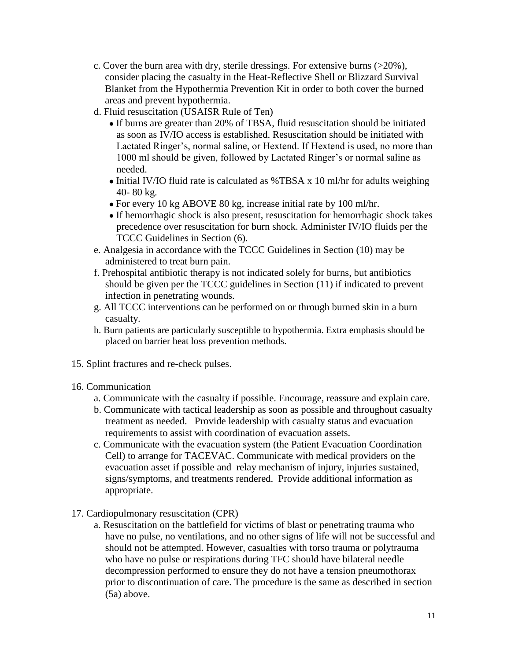- c. Cover the burn area with dry, sterile dressings. For extensive burns  $(>20\%)$ , consider placing the casualty in the Heat-Reflective Shell or Blizzard Survival Blanket from the Hypothermia Prevention Kit in order to both cover the burned areas and prevent hypothermia.
- d. Fluid resuscitation (USAISR Rule of Ten)
	- If burns are greater than 20% of TBSA, fluid resuscitation should be initiated as soon as IV/IO access is established. Resuscitation should be initiated with Lactated Ringer's, normal saline, or Hextend. If Hextend is used, no more than 1000 ml should be given, followed by Lactated Ringer's or normal saline as needed.
	- Initial IV/IO fluid rate is calculated as %TBSA x 10 ml/hr for adults weighing 40- 80 kg.
	- For every 10 kg ABOVE 80 kg, increase initial rate by 100 ml/hr.
	- If hemorrhagic shock is also present, resuscitation for hemorrhagic shock takes precedence over resuscitation for burn shock. Administer IV/IO fluids per the TCCC Guidelines in Section (6).
- e. Analgesia in accordance with the TCCC Guidelines in Section (10) may be administered to treat burn pain.
- f. Prehospital antibiotic therapy is not indicated solely for burns, but antibiotics should be given per the TCCC guidelines in Section (11) if indicated to prevent infection in penetrating wounds.
- g. All TCCC interventions can be performed on or through burned skin in a burn casualty.
- h. Burn patients are particularly susceptible to hypothermia. Extra emphasis should be placed on barrier heat loss prevention methods.
- 15. Splint fractures and re-check pulses.
- 16. Communication
	- a. Communicate with the casualty if possible. Encourage, reassure and explain care.
	- b. Communicate with tactical leadership as soon as possible and throughout casualty treatment as needed. Provide leadership with casualty status and evacuation requirements to assist with coordination of evacuation assets.
	- c. Communicate with the evacuation system (the Patient Evacuation Coordination Cell) to arrange for TACEVAC. Communicate with medical providers on the evacuation asset if possible and relay mechanism of injury, injuries sustained, signs/symptoms, and treatments rendered. Provide additional information as appropriate.
- 17. Cardiopulmonary resuscitation (CPR)
	- a. Resuscitation on the battlefield for victims of blast or penetrating trauma who have no pulse, no ventilations, and no other signs of life will not be successful and should not be attempted. However, casualties with torso trauma or polytrauma who have no pulse or respirations during TFC should have bilateral needle decompression performed to ensure they do not have a tension pneumothorax prior to discontinuation of care. The procedure is the same as described in section (5a) above.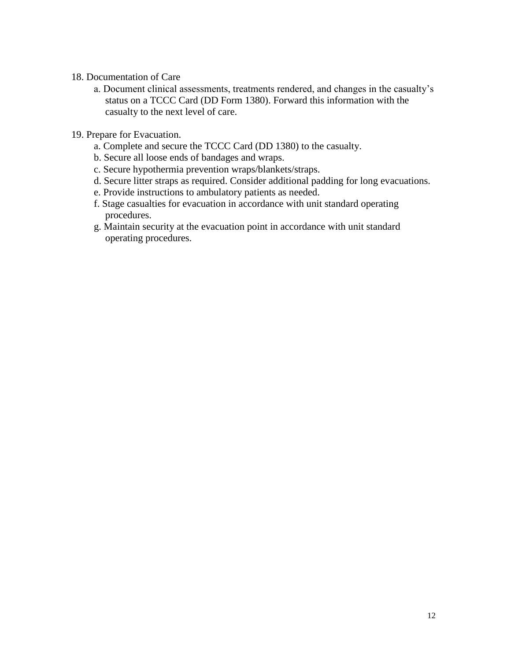#### 18. Documentation of Care

a. Document clinical assessments, treatments rendered, and changes in the casualty's status on a TCCC Card (DD Form 1380). Forward this information with the casualty to the next level of care.

### 19. Prepare for Evacuation.

- a. Complete and secure the TCCC Card (DD 1380) to the casualty.
- b. Secure all loose ends of bandages and wraps.
- c. Secure hypothermia prevention wraps/blankets/straps.
- d. Secure litter straps as required. Consider additional padding for long evacuations.
- e. Provide instructions to ambulatory patients as needed.
- f. Stage casualties for evacuation in accordance with unit standard operating procedures.
- g. Maintain security at the evacuation point in accordance with unit standard operating procedures.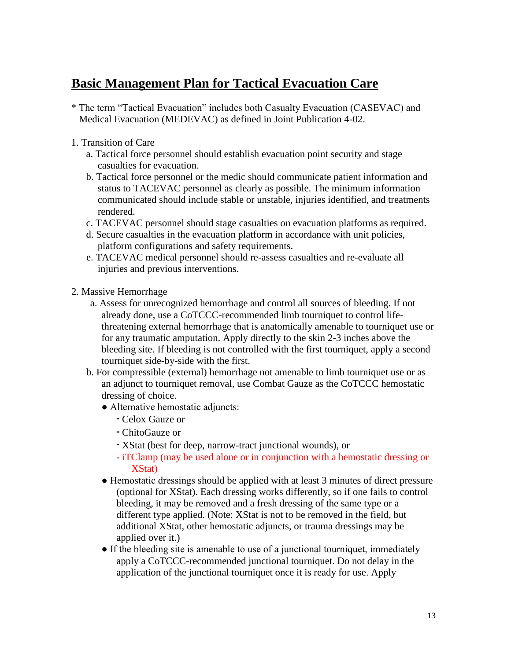# **Basic Management Plan for Tactical Evacuation Care**

\* The term "Tactical Evacuation" includes both Casualty Evacuation (CASEVAC) and Medical Evacuation (MEDEVAC) as defined in Joint Publication 4-02.

# 1. Transition of Care

- a. Tactical force personnel should establish evacuation point security and stage casualties for evacuation.
- b. Tactical force personnel or the medic should communicate patient information and status to TACEVAC personnel as clearly as possible. The minimum information communicated should include stable or unstable, injuries identified, and treatments rendered.
- c. TACEVAC personnel should stage casualties on evacuation platforms as required.
- d. Secure casualties in the evacuation platform in accordance with unit policies, platform configurations and safety requirements.
- e. TACEVAC medical personnel should re-assess casualties and re-evaluate all injuries and previous interventions.
- 2. Massive Hemorrhage
	- a. Assess for unrecognized hemorrhage and control all sources of bleeding. If not already done, use a CoTCCC-recommended limb tourniquet to control lifethreatening external hemorrhage that is anatomically amenable to tourniquet use or for any traumatic amputation. Apply directly to the skin 2-3 inches above the bleeding site. If bleeding is not controlled with the first tourniquet, apply a second tourniquet side-by-side with the first.
	- b. For compressible (external) hemorrhage not amenable to limb tourniquet use or as an adjunct to tourniquet removal, use Combat Gauze as the CoTCCC hemostatic dressing of choice.
		- Alternative hemostatic adjuncts:
			- ⁃ Celox Gauze or
			- ⁃ ChitoGauze or
			- ⁃ XStat (best for deep, narrow-tract junctional wounds), or
			- iTClamp (may be used alone or in conjunction with a hemostatic dressing or XStat)
		- Hemostatic dressings should be applied with at least 3 minutes of direct pressure (optional for XStat). Each dressing works differently, so if one fails to control bleeding, it may be removed and a fresh dressing of the same type or a different type applied. (Note: XStat is not to be removed in the field, but additional XStat, other hemostatic adjuncts, or trauma dressings may be applied over it.)
		- If the bleeding site is amenable to use of a junctional tourniquet, immediately apply a CoTCCC-recommended junctional tourniquet. Do not delay in the application of the junctional tourniquet once it is ready for use. Apply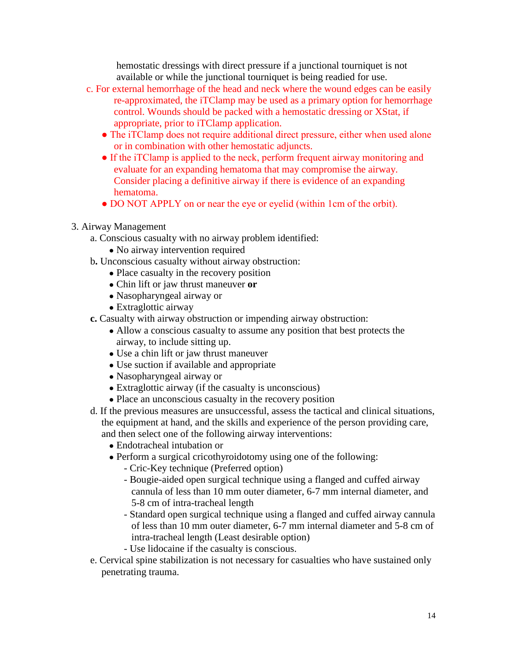hemostatic dressings with direct pressure if a junctional tourniquet is not available or while the junctional tourniquet is being readied for use.

- c. For external hemorrhage of the head and neck where the wound edges can be easily re-approximated, the iTClamp may be used as a primary option for hemorrhage control. Wounds should be packed with a hemostatic dressing or XStat, if appropriate, prior to iTClamp application.
	- The iTClamp does not require additional direct pressure, either when used alone or in combination with other hemostatic adjuncts.
	- If the iTClamp is applied to the neck, perform frequent airway monitoring and evaluate for an expanding hematoma that may compromise the airway. Consider placing a definitive airway if there is evidence of an expanding hematoma.
	- DO NOT APPLY on or near the eye or eyelid (within 1cm of the orbit).
- 3. Airway Management
	- a. Conscious casualty with no airway problem identified:
		- No airway intervention required
	- b**.** Unconscious casualty without airway obstruction:
		- Place casualty in the recovery position
		- Chin lift or jaw thrust maneuver **or**
		- Nasopharyngeal airway or
		- Extraglottic airway
	- **c.** Casualty with airway obstruction or impending airway obstruction:
		- Allow a conscious casualty to assume any position that best protects the airway, to include sitting up.
		- Use a chin lift or jaw thrust maneuver
		- Use suction if available and appropriate
		- Nasopharyngeal airway or
		- Extraglottic airway (if the casualty is unconscious)
		- Place an unconscious casualty in the recovery position
	- d. If the previous measures are unsuccessful, assess the tactical and clinical situations, the equipment at hand, and the skills and experience of the person providing care, and then select one of the following airway interventions:
		- Endotracheal intubation or
		- Perform a surgical cricothyroidotomy using one of the following:
			- Cric-Key technique (Preferred option)
			- Bougie-aided open surgical technique using a flanged and cuffed airway cannula of less than 10 mm outer diameter, 6-7 mm internal diameter, and 5-8 cm of intra-tracheal length
			- Standard open surgical technique using a flanged and cuffed airway cannula of less than 10 mm outer diameter, 6-7 mm internal diameter and 5-8 cm of intra-tracheal length (Least desirable option)
			- Use lidocaine if the casualty is conscious.
	- e. Cervical spine stabilization is not necessary for casualties who have sustained only penetrating trauma.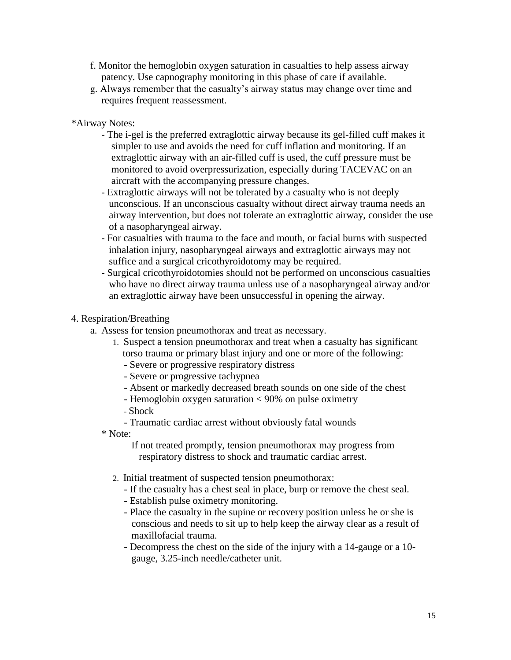- f. Monitor the hemoglobin oxygen saturation in casualties to help assess airway patency. Use capnography monitoring in this phase of care if available.
- g. Always remember that the casualty's airway status may change over time and requires frequent reassessment.

# \*Airway Notes:

- The i-gel is the preferred extraglottic airway because its gel-filled cuff makes it simpler to use and avoids the need for cuff inflation and monitoring. If an extraglottic airway with an air-filled cuff is used, the cuff pressure must be monitored to avoid overpressurization, especially during TACEVAC on an aircraft with the accompanying pressure changes.
- Extraglottic airways will not be tolerated by a casualty who is not deeply unconscious. If an unconscious casualty without direct airway trauma needs an airway intervention, but does not tolerate an extraglottic airway, consider the use of a nasopharyngeal airway.
- For casualties with trauma to the face and mouth, or facial burns with suspected inhalation injury, nasopharyngeal airways and extraglottic airways may not suffice and a surgical cricothyroidotomy may be required.
- Surgical cricothyroidotomies should not be performed on unconscious casualties who have no direct airway trauma unless use of a nasopharyngeal airway and/or an extraglottic airway have been unsuccessful in opening the airway.

### 4. Respiration/Breathing

- a. Assess for tension pneumothorax and treat as necessary.
	- 1. Suspect a tension pneumothorax and treat when a casualty has significant torso trauma or primary blast injury and one or more of the following:
		- Severe or progressive respiratory distress
		- Severe or progressive tachypnea
		- Absent or markedly decreased breath sounds on one side of the chest
		- Hemoglobin oxygen saturation < 90% on pulse oximetry
		- Shock
		- Traumatic cardiac arrest without obviously fatal wounds

\* Note:

If not treated promptly, tension pneumothorax may progress from respiratory distress to shock and traumatic cardiac arrest.

- 2. Initial treatment of suspected tension pneumothorax:
	- If the casualty has a chest seal in place, burp or remove the chest seal.
	- Establish pulse oximetry monitoring.
	- Place the casualty in the supine or recovery position unless he or she is conscious and needs to sit up to help keep the airway clear as a result of maxillofacial trauma.
	- Decompress the chest on the side of the injury with a 14-gauge or a 10 gauge, 3.25-inch needle/catheter unit.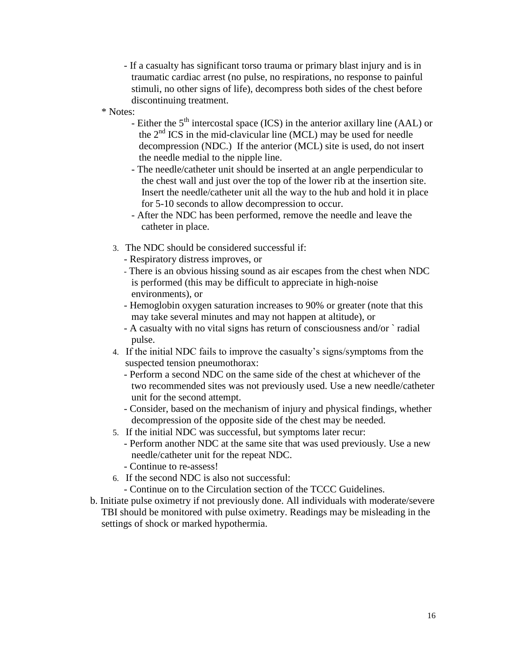- If a casualty has significant torso trauma or primary blast injury and is in traumatic cardiac arrest (no pulse, no respirations, no response to painful stimuli, no other signs of life), decompress both sides of the chest before discontinuing treatment.
- \* Notes:
	- Either the  $5<sup>th</sup>$  intercostal space (ICS) in the anterior axillary line (AAL) or the  $2<sup>nd</sup> ICS$  in the mid-clavicular line (MCL) may be used for needle decompression (NDC.) If the anterior (MCL) site is used, do not insert the needle medial to the nipple line.
	- The needle/catheter unit should be inserted at an angle perpendicular to the chest wall and just over the top of the lower rib at the insertion site. Insert the needle/catheter unit all the way to the hub and hold it in place for 5-10 seconds to allow decompression to occur.
	- After the NDC has been performed, remove the needle and leave the catheter in place.
	- 3. The NDC should be considered successful if:
		- Respiratory distress improves, or
		- There is an obvious hissing sound as air escapes from the chest when NDC is performed (this may be difficult to appreciate in high-noise environments), or
		- Hemoglobin oxygen saturation increases to 90% or greater (note that this may take several minutes and may not happen at altitude), or
		- A casualty with no vital signs has return of consciousness and/or ` radial pulse.
	- 4. If the initial NDC fails to improve the casualty's signs/symptoms from the suspected tension pneumothorax:
		- Perform a second NDC on the same side of the chest at whichever of the two recommended sites was not previously used. Use a new needle/catheter unit for the second attempt.
		- Consider, based on the mechanism of injury and physical findings, whether decompression of the opposite side of the chest may be needed.
	- 5. If the initial NDC was successful, but symptoms later recur:
		- Perform another NDC at the same site that was used previously. Use a new needle/catheter unit for the repeat NDC.
		- Continue to re-assess!
	- 6. If the second NDC is also not successful:
		- Continue on to the Circulation section of the TCCC Guidelines.
- b. Initiate pulse oximetry if not previously done. All individuals with moderate/severe TBI should be monitored with pulse oximetry. Readings may be misleading in the settings of shock or marked hypothermia.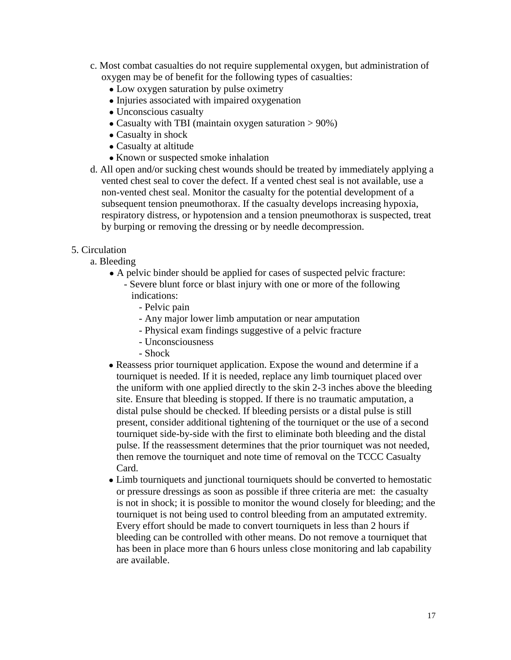- c. Most combat casualties do not require supplemental oxygen, but administration of oxygen may be of benefit for the following types of casualties:
	- Low oxygen saturation by pulse oximetry
	- Injuries associated with impaired oxygenation
	- Unconscious casualty
	- Casualty with TBI (maintain oxygen saturation  $> 90\%$ )
	- Casualty in shock
	- Casualty at altitude
	- Known or suspected smoke inhalation
- d. All open and/or sucking chest wounds should be treated by immediately applying a vented chest seal to cover the defect. If a vented chest seal is not available, use a non-vented chest seal. Monitor the casualty for the potential development of a subsequent tension pneumothorax. If the casualty develops increasing hypoxia, respiratory distress, or hypotension and a tension pneumothorax is suspected, treat by burping or removing the dressing or by needle decompression.

### 5. Circulation

- a. Bleeding
	- A pelvic binder should be applied for cases of suspected pelvic fracture: - Severe blunt force or blast injury with one or more of the following indications:
		- Pelvic pain
		- Any major lower limb amputation or near amputation
		- Physical exam findings suggestive of a pelvic fracture
		- Unconsciousness
		- Shock
	- Reassess prior tourniquet application. Expose the wound and determine if a tourniquet is needed. If it is needed, replace any limb tourniquet placed over the uniform with one applied directly to the skin 2-3 inches above the bleeding site. Ensure that bleeding is stopped. If there is no traumatic amputation, a distal pulse should be checked. If bleeding persists or a distal pulse is still present, consider additional tightening of the tourniquet or the use of a second tourniquet side-by-side with the first to eliminate both bleeding and the distal pulse. If the reassessment determines that the prior tourniquet was not needed, then remove the tourniquet and note time of removal on the TCCC Casualty Card.
	- Limb tourniquets and junctional tourniquets should be converted to hemostatic or pressure dressings as soon as possible if three criteria are met: the casualty is not in shock; it is possible to monitor the wound closely for bleeding; and the tourniquet is not being used to control bleeding from an amputated extremity. Every effort should be made to convert tourniquets in less than 2 hours if bleeding can be controlled with other means. Do not remove a tourniquet that has been in place more than 6 hours unless close monitoring and lab capability are available.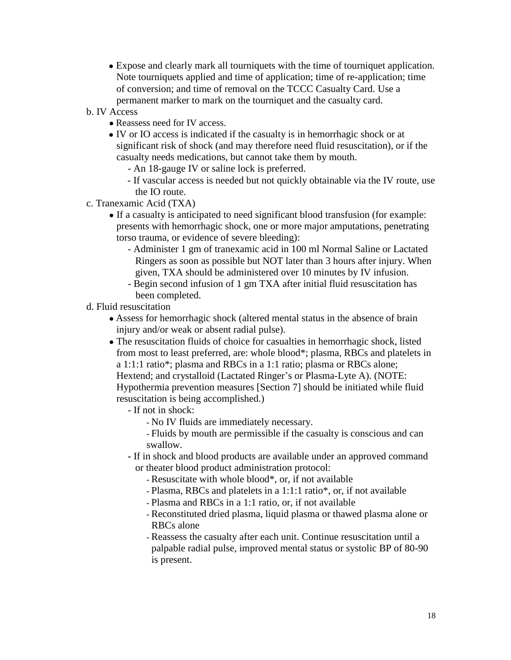- Expose and clearly mark all tourniquets with the time of tourniquet application. Note tourniquets applied and time of application; time of re-application; time of conversion; and time of removal on the TCCC Casualty Card. Use a permanent marker to mark on the tourniquet and the casualty card.
- b. IV Access
	- Reassess need for IV access.
	- IV or IO access is indicated if the casualty is in hemorrhagic shock or at significant risk of shock (and may therefore need fluid resuscitation), or if the casualty needs medications, but cannot take them by mouth.
		- An 18-gauge IV or saline lock is preferred.
		- If vascular access is needed but not quickly obtainable via the IV route, use the IO route.
- c. Tranexamic Acid (TXA)
	- If a casualty is anticipated to need significant blood transfusion (for example: presents with hemorrhagic shock, one or more major amputations, penetrating torso trauma, or evidence of severe bleeding):
		- Administer 1 gm of tranexamic acid in 100 ml Normal Saline or Lactated Ringers as soon as possible but NOT later than 3 hours after injury. When given, TXA should be administered over 10 minutes by IV infusion.
		- Begin second infusion of 1 gm TXA after initial fluid resuscitation has been completed.
- d. Fluid resuscitation
	- Assess for hemorrhagic shock (altered mental status in the absence of brain injury and/or weak or absent radial pulse).
	- The resuscitation fluids of choice for casualties in hemorrhagic shock, listed from most to least preferred, are: whole blood\*; plasma, RBCs and platelets in a 1:1:1 ratio\*; plasma and RBCs in a 1:1 ratio; plasma or RBCs alone; Hextend; and crystalloid (Lactated Ringer's or Plasma-Lyte A). (NOTE: Hypothermia prevention measures [Section 7] should be initiated while fluid resuscitation is being accomplished.)
		- If not in shock:
			- **-** No IV fluids are immediately necessary.
			- **-** Fluids by mouth are permissible if the casualty is conscious and can swallow.
		- **-** If in shock and blood products are available under an approved command or theater blood product administration protocol:
			- **-** Resuscitate with whole blood\*, or, if not available
			- **-** Plasma, RBCs and platelets in a 1:1:1 ratio\*, or, if not available
			- **-** Plasma and RBCs in a 1:1 ratio, or, if not available
			- **-** Reconstituted dried plasma, liquid plasma or thawed plasma alone or RBCs alone
			- **-** Reassess the casualty after each unit. Continue resuscitation until a palpable radial pulse, improved mental status or systolic BP of 80-90 is present.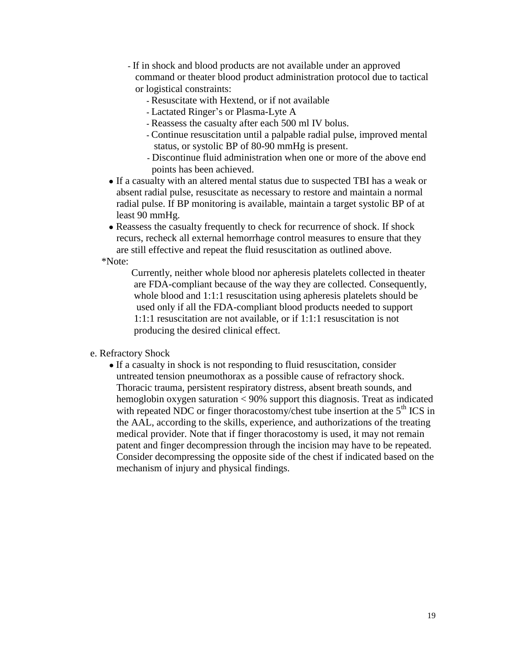- **-** If in shock and blood products are not available under an approved command or theater blood product administration protocol due to tactical or logistical constraints:
	- **-** Resuscitate with Hextend, or if not available
	- **-** Lactated Ringer's or Plasma-Lyte A
	- **-** Reassess the casualty after each 500 ml IV bolus.
	- **-** Continue resuscitation until a palpable radial pulse, improved mental status, or systolic BP of 80-90 mmHg is present.
	- **-** Discontinue fluid administration when one or more of the above end points has been achieved.
- If a casualty with an altered mental status due to suspected TBI has a weak or absent radial pulse, resuscitate as necessary to restore and maintain a normal radial pulse. If BP monitoring is available, maintain a target systolic BP of at least 90 mmHg.
- Reassess the casualty frequently to check for recurrence of shock. If shock recurs, recheck all external hemorrhage control measures to ensure that they are still effective and repeat the fluid resuscitation as outlined above.
- \*Note:

Currently, neither whole blood nor apheresis platelets collected in theater are FDA-compliant because of the way they are collected. Consequently, whole blood and 1:1:1 resuscitation using apheresis platelets should be used only if all the FDA-compliant blood products needed to support 1:1:1 resuscitation are not available, or if 1:1:1 resuscitation is not producing the desired clinical effect.

e. Refractory Shock

● If a casualty in shock is not responding to fluid resuscitation, consider untreated tension pneumothorax as a possible cause of refractory shock. Thoracic trauma, persistent respiratory distress, absent breath sounds, and hemoglobin oxygen saturation < 90% support this diagnosis. Treat as indicated with repeated NDC or finger thoracostomy/chest tube insertion at the  $5<sup>th</sup> ICS$  in the AAL, according to the skills, experience, and authorizations of the treating medical provider. Note that if finger thoracostomy is used, it may not remain patent and finger decompression through the incision may have to be repeated. Consider decompressing the opposite side of the chest if indicated based on the mechanism of injury and physical findings.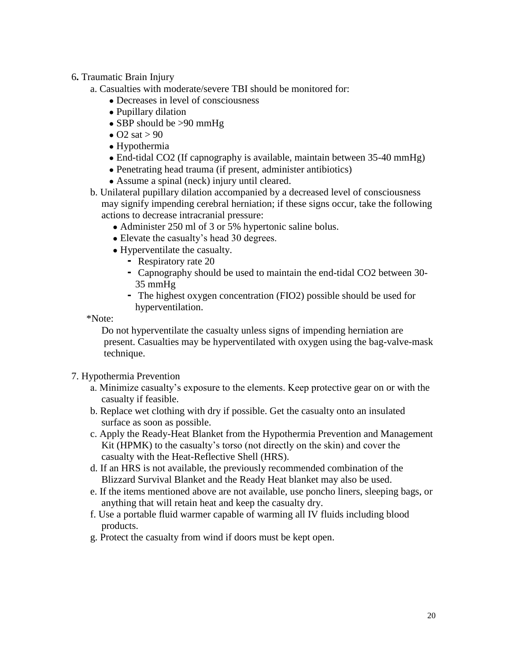### 6**.** Traumatic Brain Injury

- a. Casualties with moderate/severe TBI should be monitored for:
	- Decreases in level of consciousness
	- Pupillary dilation
	- $\bullet$  SBP should be >90 mmHg
	- $\bullet$  O2 sat > 90
	- Hypothermia
	- End-tidal CO2 (If capnography is available, maintain between 35-40 mmHg)
	- Penetrating head trauma (if present, administer antibiotics)
	- Assume a spinal (neck) injury until cleared.
- b. Unilateral pupillary dilation accompanied by a decreased level of consciousness may signify impending cerebral herniation; if these signs occur, take the following actions to decrease intracranial pressure:
	- Administer 250 ml of 3 or 5% hypertonic saline bolus.
	- Elevate the casualty's head 30 degrees.
	- Hyperventilate the casualty.
		- ⁃ Respiratory rate 20
		- ⁃ Capnography should be used to maintain the end-tidal CO2 between 30- 35 mmHg
		- ⁃ The highest oxygen concentration (FIO2) possible should be used for hyperventilation.

\*Note:

Do not hyperventilate the casualty unless signs of impending herniation are present. Casualties may be hyperventilated with oxygen using the bag-valve-mask technique.

### 7. Hypothermia Prevention

- a. Minimize casualty's exposure to the elements. Keep protective gear on or with the casualty if feasible.
- b. Replace wet clothing with dry if possible. Get the casualty onto an insulated surface as soon as possible.
- c. Apply the Ready-Heat Blanket from the Hypothermia Prevention and Management Kit (HPMK) to the casualty's torso (not directly on the skin) and cover the casualty with the Heat-Reflective Shell (HRS).
- d. If an HRS is not available, the previously recommended combination of the Blizzard Survival Blanket and the Ready Heat blanket may also be used.
- e. If the items mentioned above are not available, use poncho liners, sleeping bags, or anything that will retain heat and keep the casualty dry.
- f. Use a portable fluid warmer capable of warming all IV fluids including blood products.
- g. Protect the casualty from wind if doors must be kept open.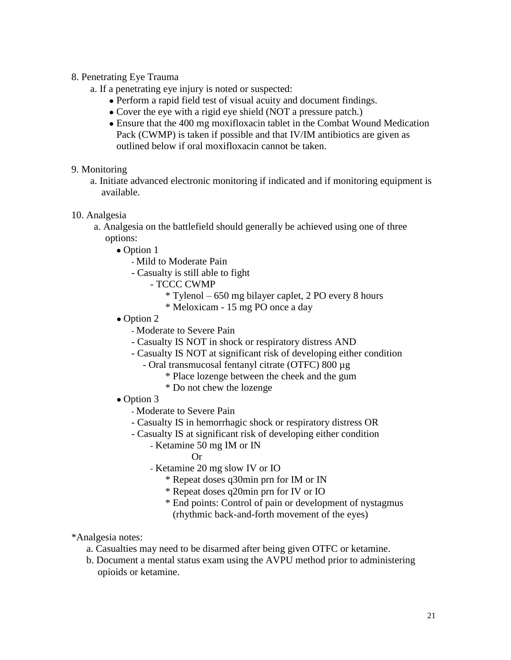### 8. Penetrating Eye Trauma

- a. If a penetrating eye injury is noted or suspected:
	- Perform a rapid field test of visual acuity and document findings.
	- Cover the eye with a rigid eye shield (NOT a pressure patch.)
	- Ensure that the 400 mg moxifloxacin tablet in the Combat Wound Medication Pack (CWMP) is taken if possible and that IV/IM antibiotics are given as outlined below if oral moxifloxacin cannot be taken.
- 9. Monitoring
	- a. Initiate advanced electronic monitoring if indicated and if monitoring equipment is available.
- 10. Analgesia
	- a. Analgesia on the battlefield should generally be achieved using one of three options:
		- Option 1
			- Mild to Moderate Pain
			- Casualty is still able to fight
				- TCCC CWMP
					- \* Tylenol 650 mg bilayer caplet, 2 PO every 8 hours
					- \* Meloxicam 15 mg PO once a day
		- Option 2
			- Moderate to Severe Pain
			- Casualty IS NOT in shock or respiratory distress AND
			- Casualty IS NOT at significant risk of developing either condition
				- Oral transmucosal fentanyl citrate (OTFC) 800 µg
					- \* Place lozenge between the cheek and the gum
					- \* Do not chew the lozenge
		- Option 3
			- Moderate to Severe Pain
			- Casualty IS in hemorrhagic shock or respiratory distress OR
			- Casualty IS at significant risk of developing either condition
				- Ketamine 50 mg IM or IN
					- Or
				- Ketamine 20 mg slow IV or IO
					- \* Repeat doses q30min prn for IM or IN
					- \* Repeat doses q20min prn for IV or IO
					- \* End points: Control of pain or development of nystagmus (rhythmic back-and-forth movement of the eyes)

\*Analgesia notes:

- a. Casualties may need to be disarmed after being given OTFC or ketamine.
- b. Document a mental status exam using the AVPU method prior to administering opioids or ketamine.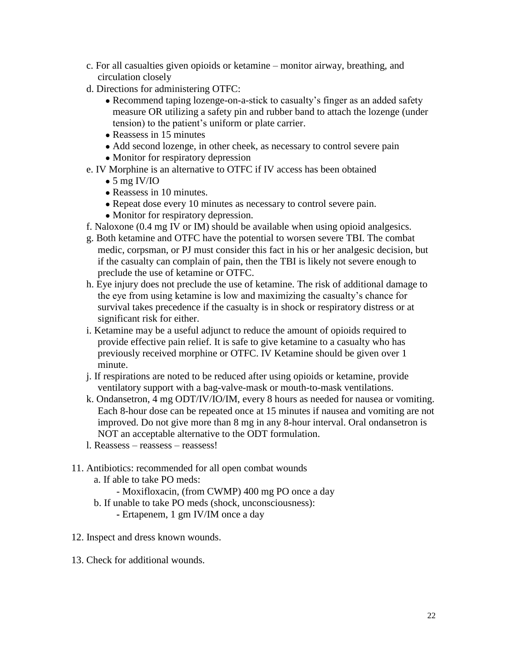- c. For all casualties given opioids or ketamine monitor airway, breathing, and circulation closely
- d. Directions for administering OTFC:
	- Recommend taping lozenge-on-a-stick to casualty's finger as an added safety measure OR utilizing a safety pin and rubber band to attach the lozenge (under tension) to the patient's uniform or plate carrier.
	- Reassess in 15 minutes
	- Add second lozenge, in other cheek, as necessary to control severe pain
	- Monitor for respiratory depression
- e. IV Morphine is an alternative to OTFC if IV access has been obtained
	- 5 mg IV/IO
	- Reassess in 10 minutes.
	- Repeat dose every 10 minutes as necessary to control severe pain.
	- Monitor for respiratory depression.
- f. Naloxone (0.4 mg IV or IM) should be available when using opioid analgesics.
- g. Both ketamine and OTFC have the potential to worsen severe TBI. The combat medic, corpsman, or PJ must consider this fact in his or her analgesic decision, but if the casualty can complain of pain, then the TBI is likely not severe enough to preclude the use of ketamine or OTFC.
- h. Eye injury does not preclude the use of ketamine. The risk of additional damage to the eye from using ketamine is low and maximizing the casualty's chance for survival takes precedence if the casualty is in shock or respiratory distress or at significant risk for either.
- i. Ketamine may be a useful adjunct to reduce the amount of opioids required to provide effective pain relief. It is safe to give ketamine to a casualty who has previously received morphine or OTFC. IV Ketamine should be given over 1 minute.
- j. If respirations are noted to be reduced after using opioids or ketamine, provide ventilatory support with a bag-valve-mask or mouth-to-mask ventilations.
- k. Ondansetron, 4 mg ODT/IV/IO/IM, every 8 hours as needed for nausea or vomiting. Each 8-hour dose can be repeated once at 15 minutes if nausea and vomiting are not improved. Do not give more than 8 mg in any 8-hour interval. Oral ondansetron is NOT an acceptable alternative to the ODT formulation.
- l. Reassess reassess reassess!
- 11. Antibiotics: recommended for all open combat wounds
	- a. If able to take PO meds:
		- Moxifloxacin, (from CWMP) 400 mg PO once a day
	- b. If unable to take PO meds (shock, unconsciousness):
		- **-** Ertapenem, 1 gm IV/IM once a day
- 12. Inspect and dress known wounds.
- 13. Check for additional wounds.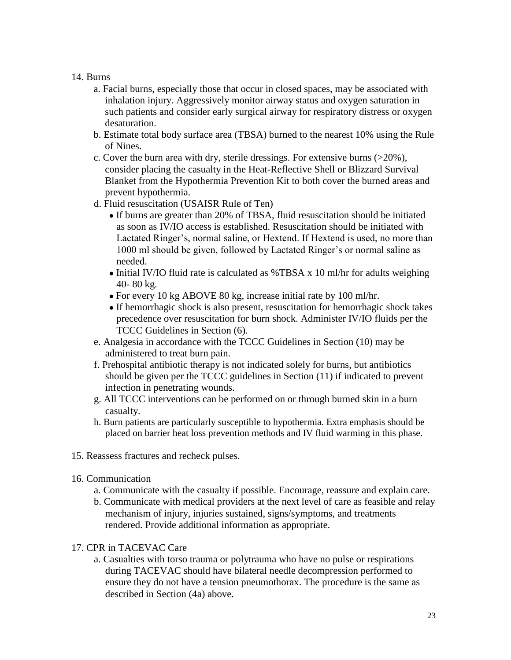### 14. Burns

- a. Facial burns, especially those that occur in closed spaces, may be associated with inhalation injury. Aggressively monitor airway status and oxygen saturation in such patients and consider early surgical airway for respiratory distress or oxygen desaturation.
- b. Estimate total body surface area (TBSA) burned to the nearest 10% using the Rule of Nines.
- c. Cover the burn area with dry, sterile dressings. For extensive burns  $(>20\%)$ , consider placing the casualty in the Heat-Reflective Shell or Blizzard Survival Blanket from the Hypothermia Prevention Kit to both cover the burned areas and prevent hypothermia.
- d. Fluid resuscitation (USAISR Rule of Ten)
	- If burns are greater than 20% of TBSA, fluid resuscitation should be initiated as soon as IV/IO access is established. Resuscitation should be initiated with Lactated Ringer's, normal saline, or Hextend. If Hextend is used, no more than 1000 ml should be given, followed by Lactated Ringer's or normal saline as needed.
	- Initial IV/IO fluid rate is calculated as %TBSA x 10 ml/hr for adults weighing 40- 80 kg.
	- For every 10 kg ABOVE 80 kg, increase initial rate by 100 ml/hr.
	- If hemorrhagic shock is also present, resuscitation for hemorrhagic shock takes precedence over resuscitation for burn shock. Administer IV/IO fluids per the TCCC Guidelines in Section (6).
- e. Analgesia in accordance with the TCCC Guidelines in Section (10) may be administered to treat burn pain.
- f. Prehospital antibiotic therapy is not indicated solely for burns, but antibiotics should be given per the TCCC guidelines in Section (11) if indicated to prevent infection in penetrating wounds.
- g. All TCCC interventions can be performed on or through burned skin in a burn casualty.
- h. Burn patients are particularly susceptible to hypothermia. Extra emphasis should be placed on barrier heat loss prevention methods and IV fluid warming in this phase.
- 15. Reassess fractures and recheck pulses.
- 16. Communication
	- a. Communicate with the casualty if possible. Encourage, reassure and explain care.
	- b. Communicate with medical providers at the next level of care as feasible and relay mechanism of injury, injuries sustained, signs/symptoms, and treatments rendered. Provide additional information as appropriate.
- 17. CPR in TACEVAC Care
	- a. Casualties with torso trauma or polytrauma who have no pulse or respirations during TACEVAC should have bilateral needle decompression performed to ensure they do not have a tension pneumothorax. The procedure is the same as described in Section (4a) above.